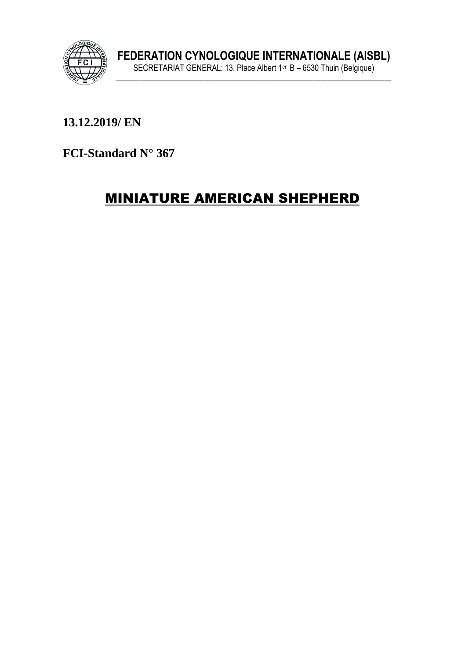

#### 13.12.2019/EN

FCI-Standard  $N^{\circ}$  367

# **MINIATURE AMERICAN SHEPHERD**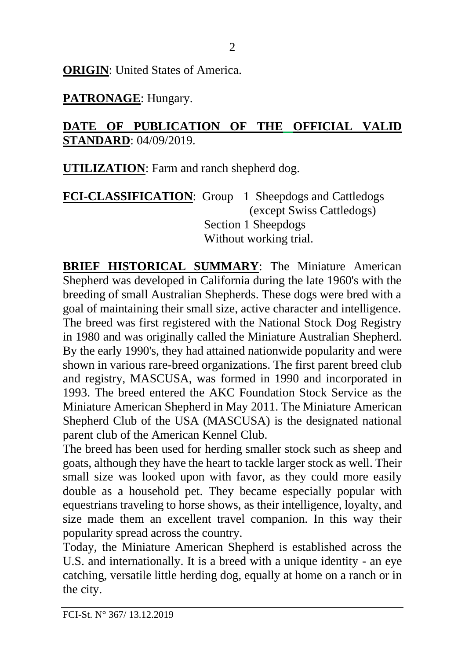## **PATRONAGE**: Hungary.

### **DATE OF PUBLICATION OF THE OFFICIAL VALID STANDARD**: 04/09/2019.

**UTILIZATION**: Farm and ranch shepherd dog.

**FCI-CLASSIFICATION**: Group 1 Sheepdogs and Cattledogs (except Swiss Cattledogs) Section 1 Sheepdogs Without working trial.

**BRIEF HISTORICAL SUMMARY**: The Miniature American Shepherd was developed in California during the late 1960's with the breeding of small Australian Shepherds. These dogs were bred with a goal of maintaining their small size, active character and intelligence. The breed was first registered with the National Stock Dog Registry in 1980 and was originally called the Miniature Australian Shepherd. By the early 1990's, they had attained nationwide popularity and were shown in various rare-breed organizations. The first parent breed club and registry, MASCUSA, was formed in 1990 and incorporated in 1993. The breed entered the AKC Foundation Stock Service as the Miniature American Shepherd in May 2011. The Miniature American Shepherd Club of the USA (MASCUSA) is the designated national parent club of the American Kennel Club.

The breed has been used for herding smaller stock such as sheep and goats, although they have the heart to tackle larger stock as well. Their small size was looked upon with favor, as they could more easily double as a household pet. They became especially popular with equestrians traveling to horse shows, as their intelligence, loyalty, and size made them an excellent travel companion. In this way their popularity spread across the country.

Today, the Miniature American Shepherd is established across the U.S. and internationally. It is a breed with a unique identity - an eye catching, versatile little herding dog, equally at home on a ranch or in the city.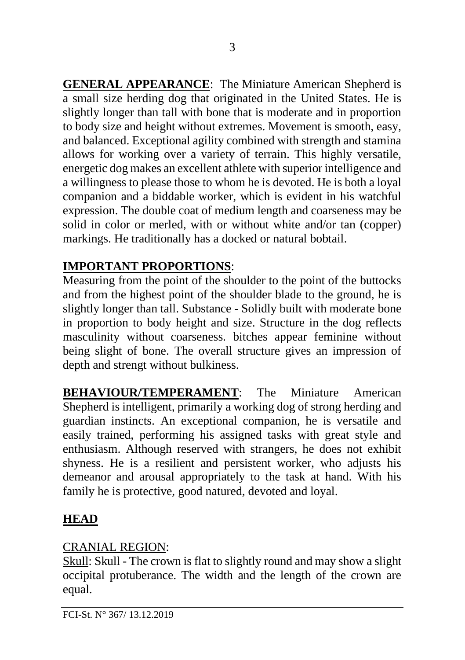**GENERAL APPEARANCE**: The Miniature American Shepherd is a small size herding dog that originated in the United States. He is slightly longer than tall with bone that is moderate and in proportion to body size and height without extremes. Movement is smooth, easy, and balanced. Exceptional agility combined with strength and stamina allows for working over a variety of terrain. This highly versatile, energetic dog makes an excellent athlete with superior intelligence and a willingness to please those to whom he is devoted. He is both a loyal companion and a biddable worker, which is evident in his watchful expression. The double coat of medium length and coarseness may be solid in color or merled, with or without white and/or tan (copper) markings. He traditionally has a docked or natural bobtail.

# **IMPORTANT PROPORTIONS**:

Measuring from the point of the shoulder to the point of the buttocks and from the highest point of the shoulder blade to the ground, he is slightly longer than tall. Substance - Solidly built with moderate bone in proportion to body height and size. Structure in the dog reflects masculinity without coarseness. bitches appear feminine without being slight of bone. The overall structure gives an impression of depth and strengt without bulkiness.

**BEHAVIOUR/TEMPERAMENT**: The Miniature American Shepherd is intelligent, primarily a working dog of strong herding and guardian instincts. An exceptional companion, he is versatile and easily trained, performing his assigned tasks with great style and enthusiasm. Although reserved with strangers, he does not exhibit shyness. He is a resilient and persistent worker, who adjusts his demeanor and arousal appropriately to the task at hand. With his family he is protective, good natured, devoted and loyal.

# **HEAD**

# CRANIAL REGION:

Skull: Skull - The crown is flat to slightly round and may show a slight occipital protuberance. The width and the length of the crown are equal.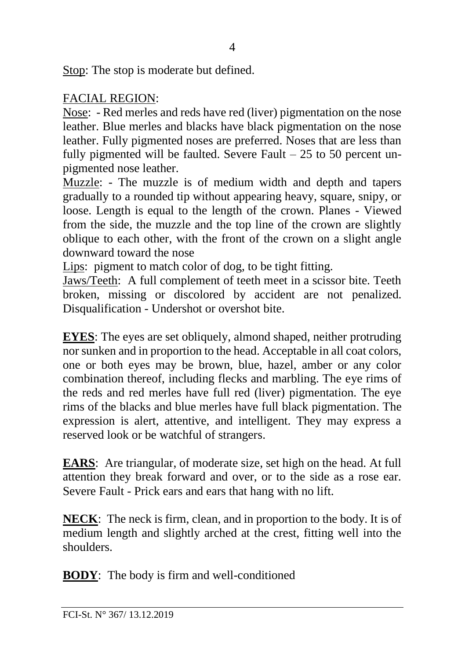Stop: The stop is moderate but defined.

### FACIAL REGION:

Nose: - Red merles and reds have red (liver) pigmentation on the nose leather. Blue merles and blacks have black pigmentation on the nose leather. Fully pigmented noses are preferred. Noses that are less than fully pigmented will be faulted. Severe Fault  $-25$  to 50 percent unpigmented nose leather.

Muzzle: - The muzzle is of medium width and depth and tapers gradually to a rounded tip without appearing heavy, square, snipy, or loose. Length is equal to the length of the crown. Planes - Viewed from the side, the muzzle and the top line of the crown are slightly oblique to each other, with the front of the crown on a slight angle downward toward the nose

Lips: pigment to match color of dog, to be tight fitting.

Jaws/Teeth: A full complement of teeth meet in a scissor bite. Teeth broken, missing or discolored by accident are not penalized. Disqualification - Undershot or overshot bite.

**EYES**: The eyes are set obliquely, almond shaped, neither protruding nor sunken and in proportion to the head. Acceptable in all coat colors, one or both eyes may be brown, blue, hazel, amber or any color combination thereof, including flecks and marbling. The eye rims of the reds and red merles have full red (liver) pigmentation. The eye rims of the blacks and blue merles have full black pigmentation. The expression is alert, attentive, and intelligent. They may express a reserved look or be watchful of strangers.

**EARS:** Are triangular, of moderate size, set high on the head. At full attention they break forward and over, or to the side as a rose ear. Severe Fault - Prick ears and ears that hang with no lift.

**NECK**: The neck is firm, clean, and in proportion to the body. It is of medium length and slightly arched at the crest, fitting well into the shoulders.

**BODY**: The body is firm and well-conditioned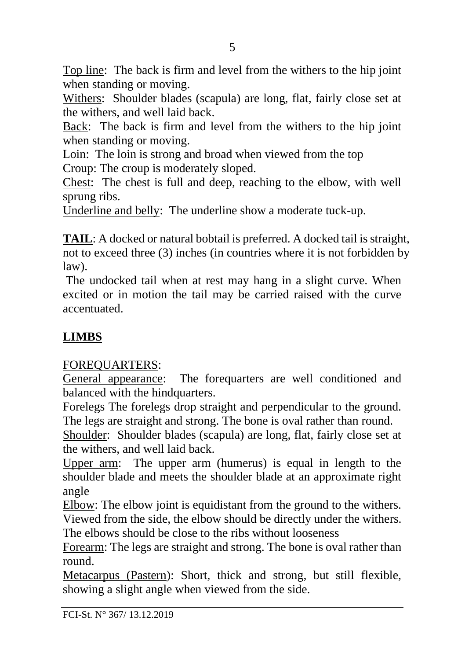Top line: The back is firm and level from the withers to the hip joint when standing or moving.

Withers: Shoulder blades (scapula) are long, flat, fairly close set at the withers, and well laid back.

Back: The back is firm and level from the withers to the hip joint when standing or moving.

Loin: The loin is strong and broad when viewed from the top

Croup: The croup is moderately sloped.

Chest: The chest is full and deep, reaching to the elbow, with well sprung ribs.

Underline and belly: The underline show a moderate tuck-up.

**TAIL**: A docked or natural bobtail is preferred. A docked tail is straight, not to exceed three (3) inches (in countries where it is not forbidden by law).

The undocked tail when at rest may hang in a slight curve. When excited or in motion the tail may be carried raised with the curve accentuated.

## **LIMBS**

### FOREQUARTERS:

General appearance: The forequarters are well conditioned and balanced with the hindquarters.

Forelegs The forelegs drop straight and perpendicular to the ground. The legs are straight and strong. The bone is oval rather than round.

Shoulder: Shoulder blades (scapula) are long, flat, fairly close set at the withers, and well laid back.

Upper arm: The upper arm (humerus) is equal in length to the shoulder blade and meets the shoulder blade at an approximate right angle

Elbow: The elbow joint is equidistant from the ground to the withers. Viewed from the side, the elbow should be directly under the withers. The elbows should be close to the ribs without looseness

Forearm: The legs are straight and strong. The bone is oval rather than round.

Metacarpus (Pastern): Short, thick and strong, but still flexible, showing a slight angle when viewed from the side.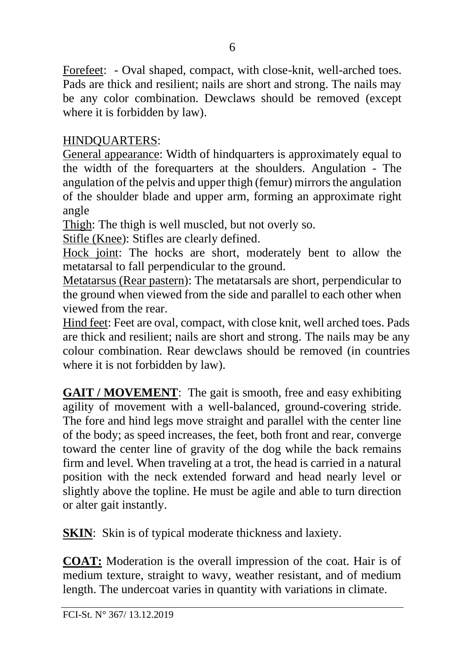Forefeet: - Oval shaped, compact, with close-knit, well-arched toes. Pads are thick and resilient; nails are short and strong. The nails may be any color combination. Dewclaws should be removed (except where it is forbidden by law).

### HINDQUARTERS:

General appearance: Width of hindquarters is approximately equal to the width of the forequarters at the shoulders. Angulation - The angulation of the pelvis and upper thigh (femur) mirrors the angulation of the shoulder blade and upper arm, forming an approximate right angle

Thigh: The thigh is well muscled, but not overly so.

Stifle (Knee): Stifles are clearly defined.

Hock joint: The hocks are short, moderately bent to allow the metatarsal to fall perpendicular to the ground.

Metatarsus (Rear pastern): The metatarsals are short, perpendicular to the ground when viewed from the side and parallel to each other when viewed from the rear.

Hind feet: Feet are oval, compact, with close knit, well arched toes. Pads are thick and resilient; nails are short and strong. The nails may be any colour combination. Rear dewclaws should be removed (in countries where it is not forbidden by law).

**GAIT / MOVEMENT:** The gait is smooth, free and easy exhibiting agility of movement with a well-balanced, ground-covering stride. The fore and hind legs move straight and parallel with the center line of the body; as speed increases, the feet, both front and rear, converge toward the center line of gravity of the dog while the back remains firm and level. When traveling at a trot, the head is carried in a natural position with the neck extended forward and head nearly level or slightly above the topline. He must be agile and able to turn direction or alter gait instantly.

**SKIN:** Skin is of typical moderate thickness and laxiety.

**COAT:** Moderation is the overall impression of the coat. Hair is of medium texture, straight to wavy, weather resistant, and of medium length. The undercoat varies in quantity with variations in climate.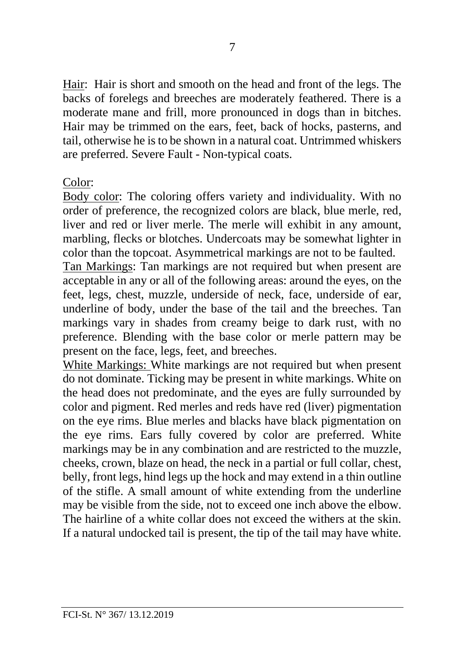Hair: Hair is short and smooth on the head and front of the legs. The backs of forelegs and breeches are moderately feathered. There is a moderate mane and frill, more pronounced in dogs than in bitches. Hair may be trimmed on the ears, feet, back of hocks, pasterns, and tail, otherwise he is to be shown in a natural coat. Untrimmed whiskers are preferred. Severe Fault - Non-typical coats.

#### Color:

Body color: The coloring offers variety and individuality. With no order of preference, the recognized colors are black, blue merle, red, liver and red or liver merle. The merle will exhibit in any amount, marbling, flecks or blotches. Undercoats may be somewhat lighter in color than the topcoat. Asymmetrical markings are not to be faulted.

Tan Markings: Tan markings are not required but when present are acceptable in any or all of the following areas: around the eyes, on the feet, legs, chest, muzzle, underside of neck, face, underside of ear, underline of body, under the base of the tail and the breeches. Tan markings vary in shades from creamy beige to dark rust, with no preference. Blending with the base color or merle pattern may be present on the face, legs, feet, and breeches.

White Markings: White markings are not required but when present do not dominate. Ticking may be present in white markings. White on the head does not predominate, and the eyes are fully surrounded by color and pigment. Red merles and reds have red (liver) pigmentation on the eye rims. Blue merles and blacks have black pigmentation on the eye rims. Ears fully covered by color are preferred. White markings may be in any combination and are restricted to the muzzle, cheeks, crown, blaze on head, the neck in a partial or full collar, chest, belly, front legs, hind legs up the hock and may extend in a thin outline of the stifle. A small amount of white extending from the underline may be visible from the side, not to exceed one inch above the elbow. The hairline of a white collar does not exceed the withers at the skin. If a natural undocked tail is present, the tip of the tail may have white.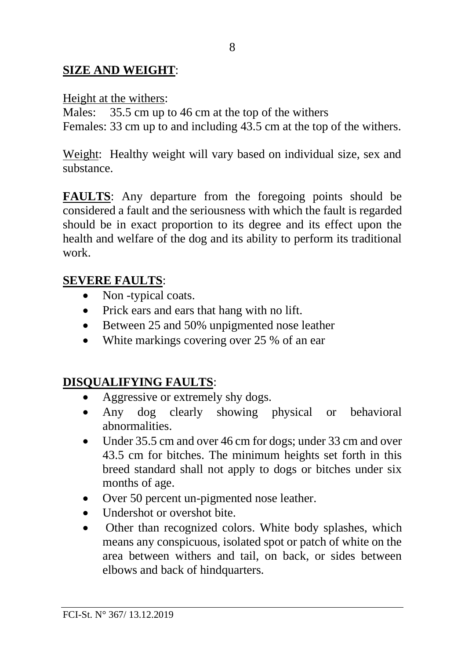### **SIZE AND WEIGHT**:

Height at the withers:

Males: 35.5 cm up to 46 cm at the top of the withers Females: 33 cm up to and including 43.5 cm at the top of the withers.

Weight: Healthy weight will vary based on individual size, sex and substance.

**FAULTS**: Any departure from the foregoing points should be considered a fault and the seriousness with which the fault is regarded should be in exact proportion to its degree and its effect upon the health and welfare of the dog and its ability to perform its traditional work.

### **SEVERE FAULTS**:

- Non-typical coats.
- Prick ears and ears that hang with no lift.
- Between 25 and 50% unpigmented nose leather
- White markings covering over 25 % of an ear

### **DISQUALIFYING FAULTS**:

- Aggressive or extremely shy dogs.
- Any dog clearly showing physical or behavioral abnormalities.
- Under 35.5 cm and over 46 cm for dogs; under 33 cm and over 43.5 cm for bitches. The minimum heights set forth in this breed standard shall not apply to dogs or bitches under six months of age.
- Over 50 percent un-pigmented nose leather.
- Undershot or overshot bite.
- Other than recognized colors. White body splashes, which means any conspicuous, isolated spot or patch of white on the area between withers and tail, on back, or sides between elbows and back of hindquarters.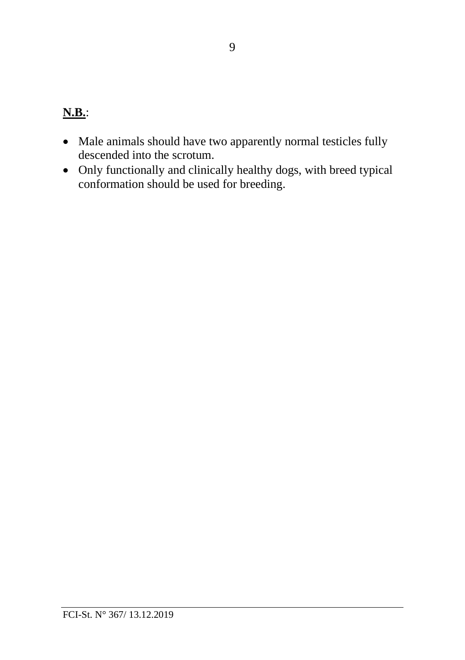## **N.B.**:

- Male animals should have two apparently normal testicles fully descended into the scrotum.
- Only functionally and clinically healthy dogs, with breed typical conformation should be used for breeding.